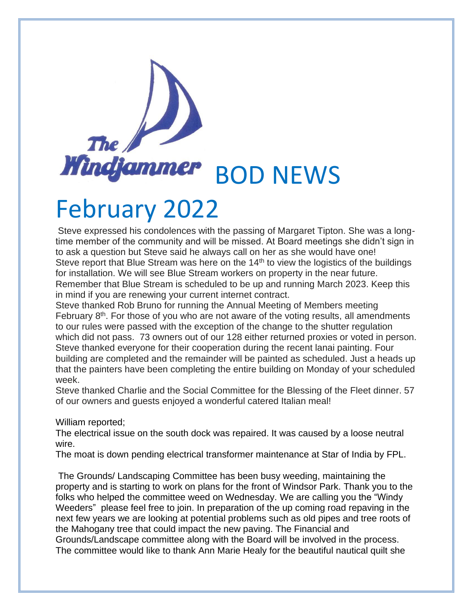## The **Windfammer** BOD NEWS

## February 2022

Steve expressed his condolences with the passing of Margaret Tipton. She was a longtime member of the community and will be missed. At Board meetings she didn't sign in to ask a question but Steve said he always call on her as she would have one! Steve report that Blue Stream was here on the 14<sup>th</sup> to view the logistics of the buildings for installation. We will see Blue Stream workers on property in the near future. Remember that Blue Stream is scheduled to be up and running March 2023. Keep this in mind if you are renewing your current internet contract.

Steve thanked Rob Bruno for running the Annual Meeting of Members meeting February  $8<sup>th</sup>$ . For those of you who are not aware of the voting results, all amendments to our rules were passed with the exception of the change to the shutter regulation which did not pass. 73 owners out of our 128 either returned proxies or voted in person. Steve thanked everyone for their cooperation during the recent lanai painting. Four building are completed and the remainder will be painted as scheduled. Just a heads up that the painters have been completing the entire building on Monday of your scheduled week.

Steve thanked Charlie and the Social Committee for the Blessing of the Fleet dinner. 57 of our owners and guests enjoyed a wonderful catered Italian meal!

William reported;

The electrical issue on the south dock was repaired. It was caused by a loose neutral wire.

The moat is down pending electrical transformer maintenance at Star of India by FPL.

The Grounds/ Landscaping Committee has been busy weeding, maintaining the property and is starting to work on plans for the front of Windsor Park. Thank you to the folks who helped the committee weed on Wednesday. We are calling you the "Windy Weeders" please feel free to join. In preparation of the up coming road repaving in the next few years we are looking at potential problems such as old pipes and tree roots of the Mahogany tree that could impact the new paving. The Financial and Grounds/Landscape committee along with the Board will be involved in the process. The committee would like to thank Ann Marie Healy for the beautiful nautical quilt she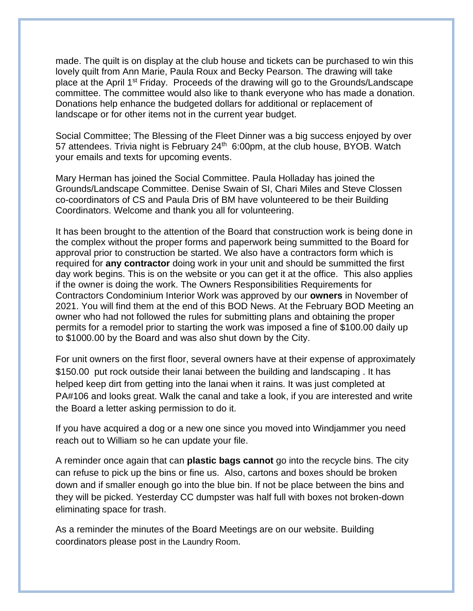made. The quilt is on display at the club house and tickets can be purchased to win this lovely quilt from Ann Marie, Paula Roux and Becky Pearson. The drawing will take place at the April 1<sup>st</sup> Friday. Proceeds of the drawing will go to the Grounds/Landscape committee. The committee would also like to thank everyone who has made a donation. Donations help enhance the budgeted dollars for additional or replacement of landscape or for other items not in the current year budget.

Social Committee; The Blessing of the Fleet Dinner was a big success enjoyed by over 57 attendees. Trivia night is February 24<sup>th</sup> 6:00pm, at the club house, BYOB. Watch your emails and texts for upcoming events.

Mary Herman has joined the Social Committee. Paula Holladay has joined the Grounds/Landscape Committee. Denise Swain of SI, Chari Miles and Steve Clossen co-coordinators of CS and Paula Dris of BM have volunteered to be their Building Coordinators. Welcome and thank you all for volunteering.

It has been brought to the attention of the Board that construction work is being done in the complex without the proper forms and paperwork being summitted to the Board for approval prior to construction be started. We also have a contractors form which is required for **any contractor** doing work in your unit and should be summitted the first day work begins. This is on the website or you can get it at the office. This also applies if the owner is doing the work. The Owners Responsibilities Requirements for Contractors Condominium Interior Work was approved by our **owners** in November of 2021. You will find them at the end of this BOD News. At the February BOD Meeting an owner who had not followed the rules for submitting plans and obtaining the proper permits for a remodel prior to starting the work was imposed a fine of \$100.00 daily up to \$1000.00 by the Board and was also shut down by the City.

For unit owners on the first floor, several owners have at their expense of approximately \$150.00 put rock outside their lanai between the building and landscaping . It has helped keep dirt from getting into the lanai when it rains. It was just completed at PA#106 and looks great. Walk the canal and take a look, if you are interested and write the Board a letter asking permission to do it.

If you have acquired a dog or a new one since you moved into Windjammer you need reach out to William so he can update your file.

A reminder once again that can **plastic bags cannot** go into the recycle bins. The city can refuse to pick up the bins or fine us. Also, cartons and boxes should be broken down and if smaller enough go into the blue bin. If not be place between the bins and they will be picked. Yesterday CC dumpster was half full with boxes not broken-down eliminating space for trash.

As a reminder the minutes of the Board Meetings are on our website. Building coordinators please post in the Laundry Room.